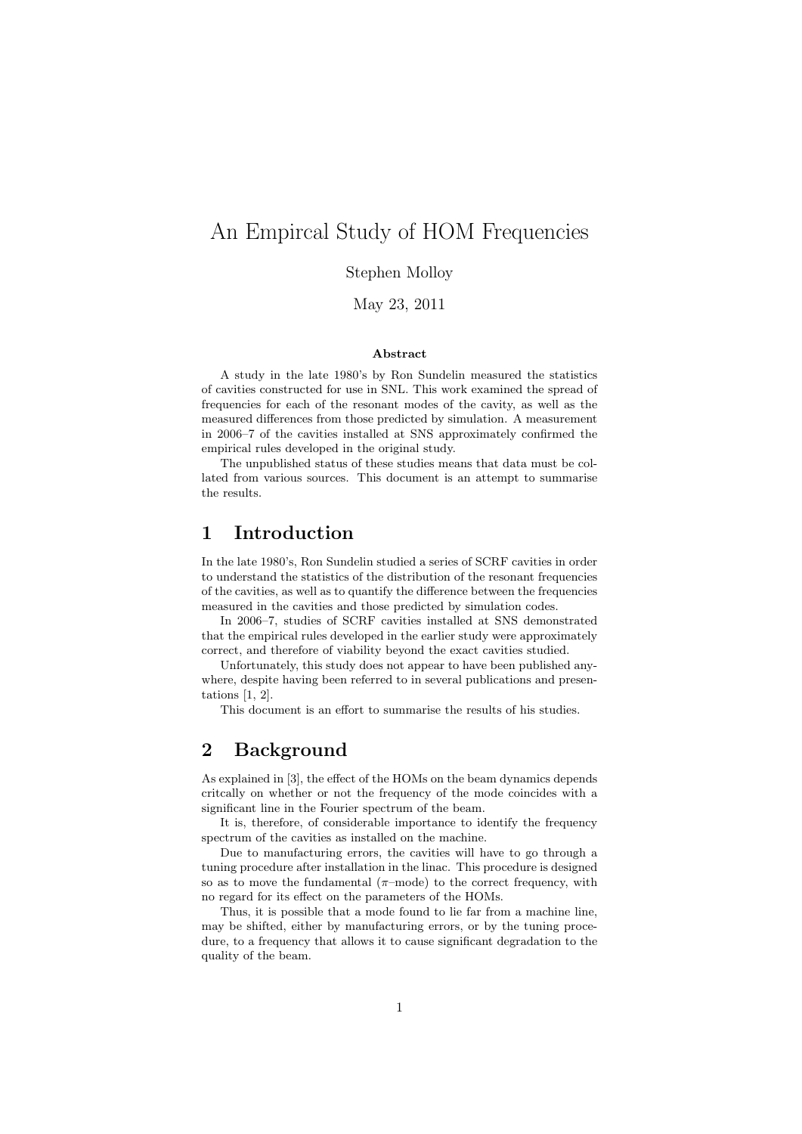# An Empircal Study of HOM Frequencies

Stephen Molloy

May 23, 2011

#### Abstract

A study in the late 1980's by Ron Sundelin measured the statistics of cavities constructed for use in SNL. This work examined the spread of frequencies for each of the resonant modes of the cavity, as well as the measured differences from those predicted by simulation. A measurement in 2006–7 of the cavities installed at SNS approximately confirmed the empirical rules developed in the original study.

The unpublished status of these studies means that data must be collated from various sources. This document is an attempt to summarise the results.

### 1 Introduction

In the late 1980's, Ron Sundelin studied a series of SCRF cavities in order to understand the statistics of the distribution of the resonant frequencies of the cavities, as well as to quantify the difference between the frequencies measured in the cavities and those predicted by simulation codes.

In 2006–7, studies of SCRF cavities installed at SNS demonstrated that the empirical rules developed in the earlier study were approximately correct, and therefore of viability beyond the exact cavities studied.

Unfortunately, this study does not appear to have been published anywhere, despite having been referred to in several publications and presentations [1, 2].

This document is an effort to summarise the results of his studies.

### 2 Background

As explained in [3], the effect of the HOMs on the beam dynamics depends critcally on whether or not the frequency of the mode coincides with a significant line in the Fourier spectrum of the beam.

It is, therefore, of considerable importance to identify the frequency spectrum of the cavities as installed on the machine.

Due to manufacturing errors, the cavities will have to go through a tuning procedure after installation in the linac. This procedure is designed so as to move the fundamental  $(\pi$ -mode) to the correct frequency, with no regard for its effect on the parameters of the HOMs.

Thus, it is possible that a mode found to lie far from a machine line, may be shifted, either by manufacturing errors, or by the tuning procedure, to a frequency that allows it to cause significant degradation to the quality of the beam.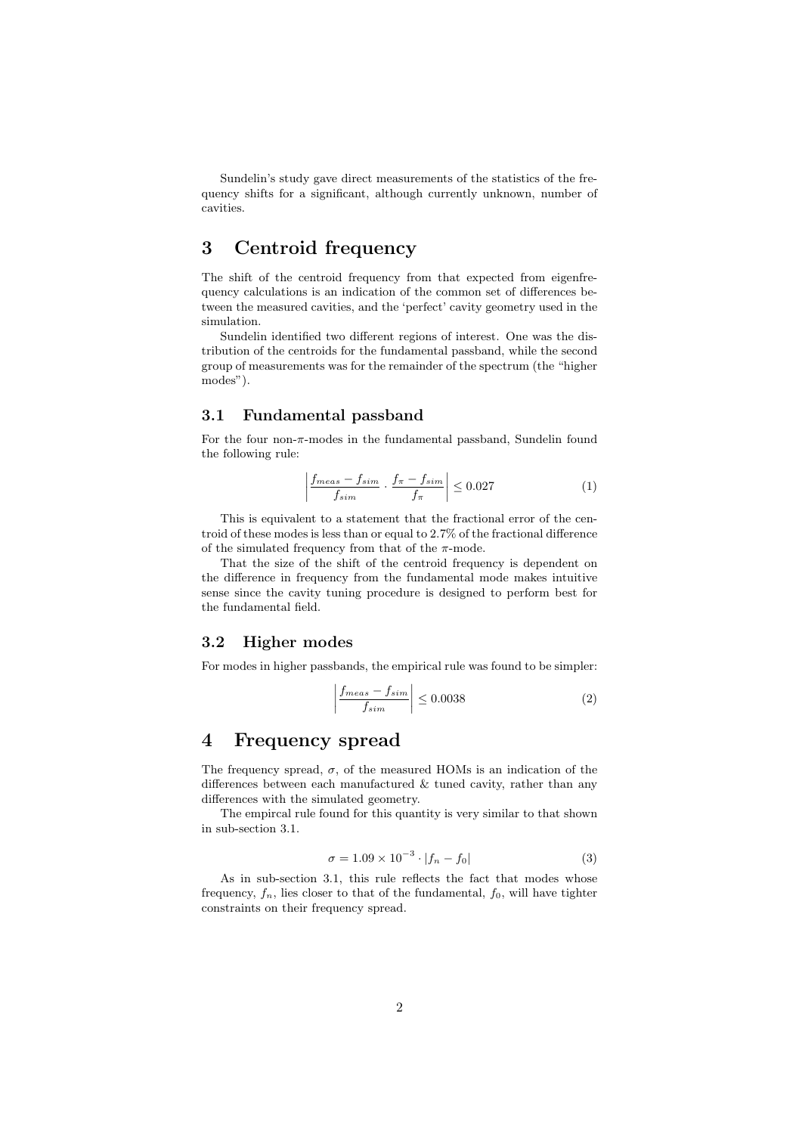Sundelin's study gave direct measurements of the statistics of the frequency shifts for a significant, although currently unknown, number of cavities.

## 3 Centroid frequency

The shift of the centroid frequency from that expected from eigenfrequency calculations is an indication of the common set of differences between the measured cavities, and the 'perfect' cavity geometry used in the simulation.

Sundelin identified two different regions of interest. One was the distribution of the centroids for the fundamental passband, while the second group of measurements was for the remainder of the spectrum (the "higher modes").

#### 3.1 Fundamental passband

For the four non- $\pi$ -modes in the fundamental passband, Sundelin found the following rule:

$$
\left| \frac{f_{meas} - f_{sim}}{f_{sim}} \cdot \frac{f_{\pi} - f_{sim}}{f_{\pi}} \right| \le 0.027 \tag{1}
$$

This is equivalent to a statement that the fractional error of the centroid of these modes is less than or equal to 2.7% of the fractional difference of the simulated frequency from that of the  $\pi$ -mode.

That the size of the shift of the centroid frequency is dependent on the difference in frequency from the fundamental mode makes intuitive sense since the cavity tuning procedure is designed to perform best for the fundamental field.

#### 3.2 Higher modes

For modes in higher passbands, the empirical rule was found to be simpler:

$$
\left| \frac{f_{meas} - f_{sim}}{f_{sim}} \right| \le 0.0038 \tag{2}
$$

### 4 Frequency spread

The frequency spread,  $\sigma$ , of the measured HOMs is an indication of the differences between each manufactured  $\&$  tuned cavity, rather than any differences with the simulated geometry.

The empircal rule found for this quantity is very similar to that shown in sub-section 3.1.

$$
\sigma = 1.09 \times 10^{-3} \cdot |f_n - f_0| \tag{3}
$$

As in sub-section 3.1, this rule reflects the fact that modes whose frequency,  $f_n$ , lies closer to that of the fundamental,  $f_0$ , will have tighter constraints on their frequency spread.